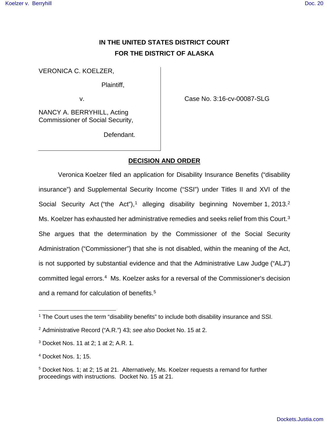# **IN THE UNITED STATES DISTRICT COURT FOR THE DISTRICT OF ALASKA**

VERONICA C. KOELZER,

Plaintiff,

v.

Case No. 3:16-cv-00087-SLG

NANCY A. BERRYHILL, Acting Commissioner of Social Security,

Defendant.

## **DECISION AND ORDER**

Veronica Koelzer filed an application for Disability Insurance Benefits ("disability insurance") and Supplemental Security Income ("SSI") under Titles II and XVI of the Social Security Act ("the Act"),<sup>[1](#page-0-0)</sup> alleging disability beginning November 1, [2](#page-0-1)013.<sup>2</sup> Ms. Koelzer has exhausted her administrative remedies and seeks relief from this Court.<sup>[3](#page-0-2)</sup> She argues that the determination by the Commissioner of the Social Security Administration ("Commissioner") that she is not disabled, within the meaning of the Act, is not supported by substantial evidence and that the Administrative Law Judge ("ALJ") committed legal errors.<sup>[4](#page-0-3)</sup> Ms. Koelzer asks for a reversal of the Commissioner's decision and a remand for calculation of benefits.<sup>[5](#page-0-4)</sup>

1

<span id="page-0-0"></span><sup>&</sup>lt;sup>1</sup> The Court uses the term "disability benefits" to include both disability insurance and SSI.

<span id="page-0-1"></span><sup>&</sup>lt;sup>2</sup> Administrative Record ("A.R.") 43; see also Docket No. 15 at 2.

<span id="page-0-2"></span><sup>3</sup> Docket Nos. 11 at 2; 1 at 2; A.R. 1.

<span id="page-0-3"></span><sup>4</sup> Docket Nos. 1; 15.

<span id="page-0-4"></span><sup>5</sup> Docket Nos. 1; at 2; 15 at 21. Alternatively, Ms. Koelzer requests a remand for further proceedings with instructions. Docket No. 15 at 21.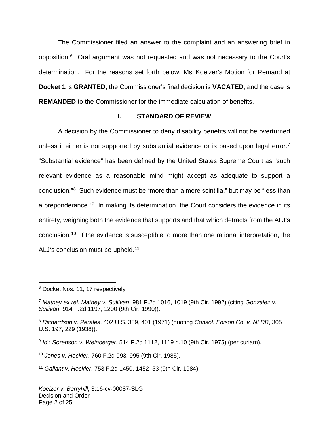The Commissioner filed an answer to the complaint and an answering brief in opposition.<sup>[6](#page-1-0)</sup> Oral argument was not requested and was not necessary to the Court's determination. For the reasons set forth below, Ms. Koelzer's Motion for Remand at **Docket 1** is **GRANTED**, the Commissioner's final decision is **VACATED**, and the case is **REMANDED** to the Commissioner for the immediate calculation of benefits.

## **I. STANDARD OF REVIEW**

A decision by the Commissioner to deny disability benefits will not be overturned unless it either is not supported by substantial evidence or is based upon legal error.<sup>[7](#page-1-1)</sup> "Substantial evidence" has been defined by the United States Supreme Court as "such relevant evidence as a reasonable mind might accept as adequate to support a conclusion."[8](#page-1-2) Such evidence must be "more than a mere scintilla," but may be "less than a preponderance."<sup>[9](#page-1-3)</sup> In making its determination, the Court considers the evidence in its entirety, weighing both the evidence that supports and that which detracts from the ALJ's conclusion.[10](#page-1-4) If the evidence is susceptible to more than one rational interpretation, the ALJ's conclusion must be upheld.<sup>[11](#page-1-5)</sup>

<span id="page-1-4"></span><sup>10</sup> Jones v. Heckler, 760 F.2d 993, 995 (9th Cir. 1985).

<span id="page-1-5"></span><sup>11</sup> Gallant v. Heckler, 753 F.2d 1450, 1452–53 (9th Cir. 1984).

<span id="page-1-0"></span><sup>1</sup> <sup>6</sup> Docket Nos. 11, 17 respectively.

<span id="page-1-1"></span><sup>7</sup> Matney ex rel. Matney v. Sullivan, 981 F.2d 1016, 1019 (9th Cir. 1992) (citing Gonzalez v. Sullivan, 914 F.2d 1197, 1200 (9th Cir. 1990)).

<span id="page-1-2"></span><sup>&</sup>lt;sup>8</sup> Richardson v. Perales, 402 U.S. 389, 401 (1971) (quoting Consol. Edison Co. v. NLRB, 305 U.S. 197, 229 (1938)).

<span id="page-1-3"></span> $9$  Id.; Sorenson v. Weinberger, 514 F.2d 1112, 1119 n.10 (9th Cir. 1975) (per curiam).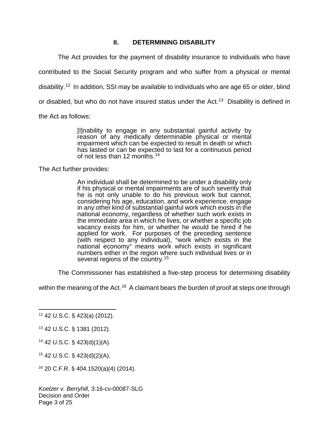## **II. DETERMINING DISABILITY**

The Act provides for the payment of disability insurance to individuals who have

contributed to the Social Security program and who suffer from a physical or mental

disability.<sup>[12](#page-2-0)</sup> In addition, SSI may be available to individuals who are age 65 or older, blind

or disabled, but who do not have insured status under the Act.<sup>[13](#page-2-1)</sup> Disability is defined in

the Act as follows:

[I]nability to engage in any substantial gainful activity by reason of any medically determinable physical or mental impairment which can be expected to result in death or which has lasted or can be expected to last for a continuous period of not less than 12 months.[14](#page-2-2)

The Act further provides:

An individual shall be determined to be under a disability only if his physical or mental impairments are of such severity that he is not only unable to do his previous work but cannot, considering his age, education, and work experience, engage in any other kind of substantial gainful work which exists in the national economy, regardless of whether such work exists in the immediate area in which he lives, or whether a specific job vacancy exists for him, or whether he would be hired if he applied for work. For purposes of the preceding sentence (with respect to any individual), "work which exists in the national economy" means work which exists in significant numbers either in the region where such individual lives or in several regions of the country.[15](#page-2-3)

The Commissioner has established a five-step process for determining disability

within the meaning of the Act.<sup>[16](#page-2-4)</sup> A claimant bears the burden of proof at steps one through

<span id="page-2-2"></span><sup>14</sup> 42 U.S.C. § 423(d)(1)(A).

<span id="page-2-3"></span><sup>15</sup> 42 U.S.C. § 423(d)(2)(A).

<span id="page-2-4"></span><sup>16</sup> 20 C.F.R. § 404.1520(a)(4) (2014).

Koelzer v. Berryhill, 3:16-cv-00087-SLG Decision and Order Page 3 of 25

<span id="page-2-0"></span> $\overline{a}$ <sup>12</sup> 42 U.S.C. § 423(a) (2012).

<span id="page-2-1"></span><sup>13</sup> 42 U.S.C. § 1381 (2012).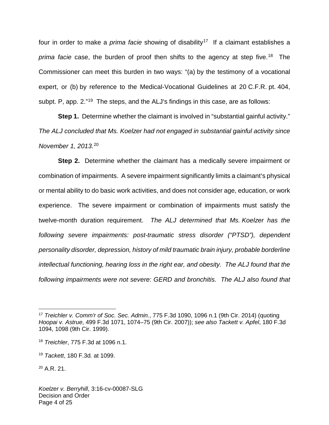four in order to make a *prima facie* showing of disability<sup>[17](#page-3-0)</sup> If a claimant establishes a prima facie case, the burden of proof then shifts to the agency at step five.<sup>[18](#page-3-1)</sup> The Commissioner can meet this burden in two ways: "(a) by the testimony of a vocational expert, or (b) by reference to the Medical-Vocational Guidelines at 20 C.F.R. pt. 404, subpt. P, app. 2."<sup>[19](#page-3-2)</sup> The steps, and the ALJ's findings in this case, are as follows:

**Step 1.** Determine whether the claimant is involved in "substantial gainful activity." The ALJ concluded that Ms. Koelzer had not engaged in substantial gainful activity since November 1, 2013. [20](#page-3-3)

**Step 2.** Determine whether the claimant has a medically severe impairment or combination of impairments. A severe impairment significantly limits a claimant's physical or mental ability to do basic work activities, and does not consider age, education, or work experience. The severe impairment or combination of impairments must satisfy the twelve-month duration requirement. The ALJ determined that Ms. Koelzer has the following severe impairments: post-traumatic stress disorder ("PTSD"), dependent personality disorder, depression, history of mild traumatic brain injury, probable borderline intellectual functioning, hearing loss in the right ear, and obesity. The ALJ found that the following impairments were not severe: GERD and bronchitis. The ALJ also found that

<span id="page-3-0"></span><sup>&</sup>lt;sup>17</sup> Treichler v. Comm'r of Soc. Sec. Admin., 775 F.3d 1090, 1096 n.1 (9th Cir. 2014) (quoting Hoopai v. Astrue, 499 F.3d 1071, 1074–75 (9th Cir. 2007)); see also Tackett v. Apfel, 180 F.3d 1094, 1098 (9th Cir. 1999).

<span id="page-3-1"></span><sup>18</sup> Treichler, 775 F.3d at 1096 n.1.

<span id="page-3-2"></span><sup>19</sup> Tackett, 180 F.3d. at 1099.

<span id="page-3-3"></span> $^{20}$  A.R. 21.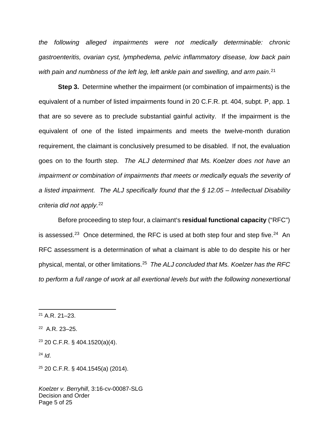the following alleged impairments were not medically determinable: chronic gastroenteritis, ovarian cyst, lymphedema, pelvic inflammatory disease, low back pain with pain and numbness of the left leg, left ankle pain and swelling, and arm pain.<sup>[21](#page-4-0)</sup>

**Step 3.** Determine whether the impairment (or combination of impairments) is the equivalent of a number of listed impairments found in 20 C.F.R. pt. 404, subpt. P, app. 1 that are so severe as to preclude substantial gainful activity. If the impairment is the equivalent of one of the listed impairments and meets the twelve-month duration requirement, the claimant is conclusively presumed to be disabled. If not, the evaluation goes on to the fourth step. The ALJ determined that Ms. Koelzer does not have an impairment or combination of impairments that meets or medically equals the severity of a listed impairment. The ALJ specifically found that the  $\S$  12.05 – Intellectual Disability criteria did not apply.[22](#page-4-1)

Before proceeding to step four, a claimant's **residual functional capacity** ("RFC") is assessed.<sup>[23](#page-4-2)</sup> Once determined, the RFC is used at both step four and step five.<sup>[24](#page-4-3)</sup> An RFC assessment is a determination of what a claimant is able to do despite his or her physical, mental, or other limitations.<sup>[25](#page-4-4)</sup> The ALJ concluded that Ms. Koelzer has the RFC to perform a full range of work at all exertional levels but with the following nonexertional

<u>.</u>

<span id="page-4-0"></span><sup>21</sup> A.R. 21–23.

<span id="page-4-1"></span><sup>22</sup> A.R. 23–25.

<span id="page-4-2"></span> $23$  20 C.F.R. § 404.1520(a)(4).

<span id="page-4-3"></span> $24$  Id.

<span id="page-4-4"></span><sup>25</sup> 20 C.F.R. § 404.1545(a) (2014).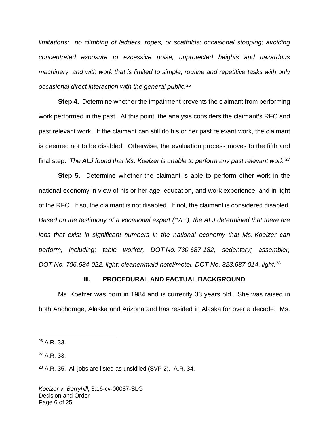limitations: no climbing of ladders, ropes, or scaffolds; occasional stooping; avoiding concentrated exposure to excessive noise, unprotected heights and hazardous machinery; and with work that is limited to simple, routine and repetitive tasks with only occasional direct interaction with the general public.<sup>[26](#page-5-0)</sup>

**Step 4.** Determine whether the impairment prevents the claimant from performing work performed in the past. At this point, the analysis considers the claimant's RFC and past relevant work. If the claimant can still do his or her past relevant work, the claimant is deemed not to be disabled. Otherwise, the evaluation process moves to the fifth and final step. The ALJ found that Ms. Koelzer is unable to perform any past relevant work.<sup>[27](#page-5-1)</sup>

**Step 5.** Determine whether the claimant is able to perform other work in the national economy in view of his or her age, education, and work experience, and in light of the RFC. If so, the claimant is not disabled. If not, the claimant is considered disabled. Based on the testimony of a vocational expert ("VE"), the ALJ determined that there are jobs that exist in significant numbers in the national economy that Ms. Koelzer can perform, including: table worker, DOT No. 730.687-182, sedentary; assembler, DOT No. 706.684-022, light; cleaner/maid hotel/motel, DOT No. 323.687-014, light.<sup>[28](#page-5-2)</sup>

#### **III. PROCEDURAL AND FACTUAL BACKGROUND**

Ms. Koelzer was born in 1984 and is currently 33 years old. She was raised in both Anchorage, Alaska and Arizona and has resided in Alaska for over a decade. Ms.

 $\overline{a}$ 

<span id="page-5-1"></span><sup>27</sup> A.R. 33.

<span id="page-5-0"></span><sup>26</sup> A.R. 33.

<span id="page-5-2"></span> $28$  A.R. 35. All jobs are listed as unskilled (SVP 2). A.R. 34.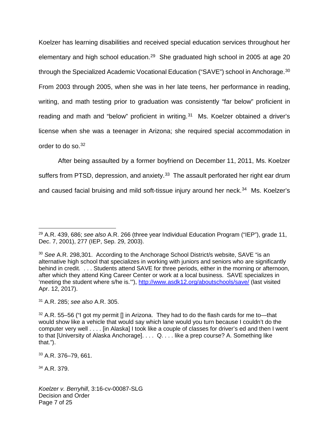Koelzer has learning disabilities and received special education services throughout her elementary and high school education.<sup>[29](#page-6-0)</sup> She graduated high school in 2005 at age 20 through the Specialized Academic Vocational Education ("SAVE") school in Anchorage.<sup>[30](#page-6-1)</sup> From 2003 through 2005, when she was in her late teens, her performance in reading, writing, and math testing prior to graduation was consistently "far below" proficient in reading and math and "below" proficient in writing.<sup>[31](#page-6-2)</sup> Ms. Koelzer obtained a driver's license when she was a teenager in Arizona; she required special accommodation in order to do so.<sup>[32](#page-6-3)</sup>

 After being assaulted by a former boyfriend on December 11, 2011, Ms. Koelzer suffers from PTSD, depression, and anxiety.<sup>[33](#page-6-4)</sup> The assault perforated her right ear drum and caused facial bruising and mild soft-tissue injury around her neck.<sup>[34](#page-6-5)</sup> Ms. Koelzer's

<span id="page-6-2"></span><sup>31</sup> A.R. 285; see also A.R. 305.

<span id="page-6-4"></span><sup>33</sup> A.R. 376–79, 661.

<span id="page-6-5"></span><sup>34</sup> A.R. 379.

 $\overline{a}$ 

Koelzer v. Berryhill, 3:16-cv-00087-SLG Decision and Order Page 7 of 25

<span id="page-6-0"></span> $29$  A.R. 439, 686; see also A.R. 266 (three year Individual Education Program ("IEP"), grade 11, Dec. 7, 2001), 277 (IEP, Sep. 29, 2003).

<span id="page-6-1"></span><sup>&</sup>lt;sup>30</sup> See A.R. 298,301. According to the Anchorage School District/s website, SAVE "is an alternative high school that specializes in working with juniors and seniors who are significantly behind in credit. . . . Students attend SAVE for three periods, either in the morning or afternoon, after which they attend King Career Center or work at a local business. SAVE specializes in 'meeting the student where s/he is.'"),<http://www.asdk12.org/aboutschools/save/> (last visited Apr. 12, 2017).

<span id="page-6-3"></span> $32$  A.R. 55–56 ("I got my permit [] in Arizona. They had to do the flash cards for me to—that would show like a vehicle that would say which lane would you turn because I couldn't do the computer very well . . . . [in Alaska] I took like a couple of classes for driver's ed and then I went to that [University of Alaska Anchorage]. . . . Q. . . . like a prep course? A. Something like that.").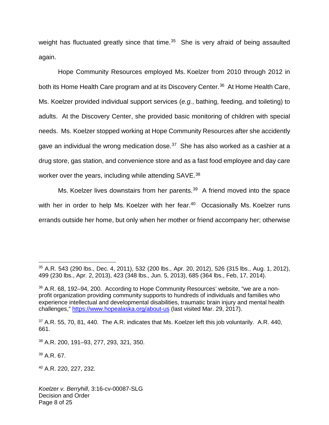weight has fluctuated greatly since that time.<sup>[35](#page-7-0)</sup> She is very afraid of being assaulted again.

Hope Community Resources employed Ms. Koelzer from 2010 through 2012 in both its Home Health Care program and at its Discovery Center.<sup>[36](#page-7-1)</sup> At Home Health Care, Ms. Koelzer provided individual support services (e.g., bathing, feeding, and toileting) to adults. At the Discovery Center, she provided basic monitoring of children with special needs. Ms. Koelzer stopped working at Hope Community Resources after she accidently gave an individual the wrong medication dose. $37$  She has also worked as a cashier at a drug store, gas station, and convenience store and as a fast food employee and day care worker over the years, including while attending SAVE.<sup>[38](#page-7-3)</sup>

Ms. Koelzer lives downstairs from her parents.<sup>[39](#page-7-4)</sup> A friend moved into the space with her in order to help Ms. Koelzer with her fear.<sup>[40](#page-7-5)</sup> Occasionally Ms. Koelzer runs errands outside her home, but only when her mother or friend accompany her; otherwise

<span id="page-7-4"></span><sup>39</sup> A.R. 67.

1

<span id="page-7-5"></span><sup>40</sup> A.R. 220, 227, 232.

<span id="page-7-0"></span><sup>35</sup> A.R. 543 (290 lbs., Dec. 4, 2011), 532 (200 lbs., Apr. 20, 2012), 526 (315 lbs., Aug. 1, 2012), 499 (230 lbs., Apr. 2, 2013), 423 (348 lbs., Jun. 5, 2013), 685 (364 lbs., Feb, 17, 2014).

<span id="page-7-1"></span><sup>&</sup>lt;sup>36</sup> A.R. 68, 192–94, 200. According to Hope Community Resources' website, "we are a nonprofit organization providing community supports to hundreds of individuals and families who experience intellectual and developmental disabilities, traumatic brain injury and mental health challenges,"<https://www.hopealaska.org/about-us> (last visited Mar. 29, 2017).

<span id="page-7-2"></span> $37$  A.R. 55, 70, 81, 440. The A.R. indicates that Ms. Koelzer left this job voluntarily. A.R. 440, 661.

<span id="page-7-3"></span><sup>38</sup> A.R. 200, 191–93, 277, 293, 321, 350.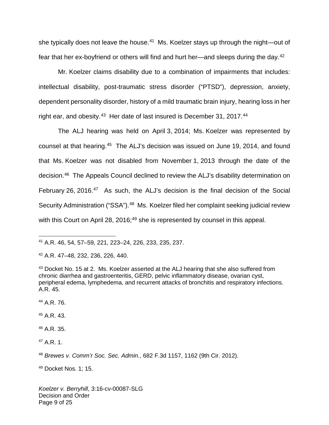she typically does not leave the house.<sup>[41](#page-8-0)</sup> Ms. Koelzer stays up through the night—out of fear that her ex-boyfriend or others will find and hurt her—and sleeps during the day.<sup>[42](#page-8-1)</sup>

Mr. Koelzer claims disability due to a combination of impairments that includes: intellectual disability, post-traumatic stress disorder ("PTSD"), depression, anxiety, dependent personality disorder, history of a mild traumatic brain injury, hearing loss in her right ear, and obesity.<sup>[43](#page-8-2)</sup> Her date of last insured is December 31, 2017.<sup>[44](#page-8-3)</sup>

The ALJ hearing was held on April 3, 2014; Ms. Koelzer was represented by counsel at that hearing.<sup>[45](#page-8-4)</sup> The ALJ's decision was issued on June 19, 2014, and found that Ms. Koelzer was not disabled from November 1, 2013 through the date of the decision. [46](#page-8-5) The Appeals Council declined to review the ALJ's disability determination on February 26, 2016.<sup>[47](#page-8-6)</sup> As such, the ALJ's decision is the final decision of the Social Security Administration ("SSA").<sup>[48](#page-8-7)</sup> Ms. Koelzer filed her complaint seeking judicial review with this Court on April 28, 2016;<sup>[49](#page-8-8)</sup> she is represented by counsel in this appeal.

<span id="page-8-3"></span><sup>44</sup> A.R. 76.

1

<span id="page-8-4"></span><sup>45</sup> A.R. 43.

<span id="page-8-5"></span><sup>46</sup> A.R. 35.

<span id="page-8-6"></span><sup>47</sup> A.R. 1.

<span id="page-8-7"></span><sup>48</sup> Brewes v. Comm'r Soc. Sec. Admin., 682 F.3d 1157, 1162 (9th Cir. 2012).

<span id="page-8-8"></span><sup>49</sup> Docket Nos. 1; 15.

Koelzer v. Berryhill, 3:16-cv-00087-SLG Decision and Order Page 9 of 25

<span id="page-8-0"></span><sup>41</sup> A.R. 46, 54, 57–59, 221, 223–24, 226, 233, 235, 237.

<span id="page-8-1"></span><sup>42</sup> A.R. 47–48, 232, 236, 226, 440.

<span id="page-8-2"></span><sup>&</sup>lt;sup>43</sup> Docket No. 15 at 2. Ms. Koelzer asserted at the ALJ hearing that she also suffered from chronic diarrhea and gastroenteritis, GERD, pelvic inflammatory disease, ovarian cyst, peripheral edema, lymphedema, and recurrent attacks of bronchitis and respiratory infections. A.R. 45.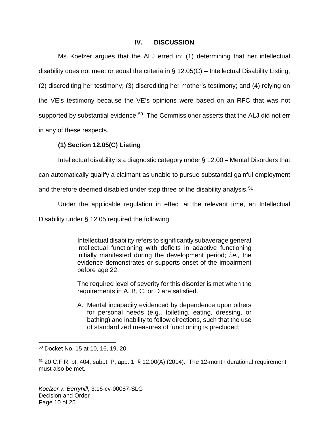## **IV. DISCUSSION**

Ms. Koelzer argues that the ALJ erred in: (1) determining that her intellectual disability does not meet or equal the criteria in  $\S$  12.05(C) – Intellectual Disability Listing; (2) discrediting her testimony; (3) discrediting her mother's testimony; and (4) relying on the VE's testimony because the VE's opinions were based on an RFC that was not supported by substantial evidence.<sup>[50](#page-9-0)</sup> The Commissioner asserts that the ALJ did not err in any of these respects.

## **(1) Section 12.05(C) Listing**

Intellectual disability is a diagnostic category under § 12.00 – Mental Disorders that

can automatically qualify a claimant as unable to pursue substantial gainful employment

and therefore deemed disabled under step three of the disability analysis.<sup>[51](#page-9-1)</sup>

Under the applicable regulation in effect at the relevant time, an Intellectual

Disability under § 12.05 required the following:

Intellectual disability refers to significantly subaverage general intellectual functioning with deficits in adaptive functioning initially manifested during the development period; i.e., the evidence demonstrates or supports onset of the impairment before age 22.

The required level of severity for this disorder is met when the requirements in A, B, C, or D are satisfied.

A. Mental incapacity evidenced by dependence upon others for personal needs (e.g., toileting, eating, dressing, or bathing) and inability to follow directions, such that the use of standardized measures of functioning is precluded;

<span id="page-9-0"></span><sup>50</sup> Docket No. 15 at 10, 16, 19, 20.

<span id="page-9-1"></span> $51$  20 C.F.R. pt. 404, subpt. P, app. 1, § 12.00(A) (2014). The 12-month durational requirement must also be met.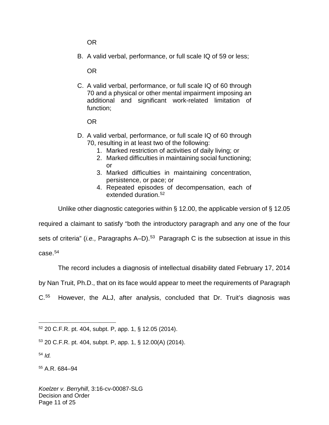OR

B. A valid verbal, performance, or full scale IQ of 59 or less;

OR

C. A valid verbal, performance, or full scale IQ of 60 through 70 and a physical or other mental impairment imposing an additional and significant work-related limitation of function;

OR

- D. A valid verbal, performance, or full scale IQ of 60 through 70, resulting in at least two of the following:
	- 1. Marked restriction of activities of daily living; or
	- 2. Marked difficulties in maintaining social functioning;  $\alpha$ r
	- 3. Marked difficulties in maintaining concentration, persistence, or pace; or
	- 4. Repeated episodes of decompensation, each of extended duration.[52](#page-10-0)

Unlike other diagnostic categories within § 12.00, the applicable version of § 12.05

required a claimant to satisfy "both the introductory paragraph and any one of the four

sets of criteria" (*i.e.,* Paragraphs A–D).<sup>[53](#page-10-1)</sup> Paragraph C is the subsection at issue in this case.[54](#page-10-2)

The record includes a diagnosis of intellectual disability dated February 17, 2014

by Nan Truit, Ph.D., that on its face would appear to meet the requirements of Paragraph

 $C.55$  $C.55$ However, the ALJ, after analysis, concluded that Dr. Truit's diagnosis was

<span id="page-10-2"></span> $54$  Id.

<span id="page-10-3"></span><sup>55</sup> A.R. 684–94

<span id="page-10-0"></span> $\overline{a}$ <sup>52</sup> 20 C.F.R. pt. 404, subpt. P, app. 1, § 12.05 (2014).

<span id="page-10-1"></span><sup>53</sup> 20 C.F.R. pt. 404, subpt. P, app. 1, § 12.00(A) (2014).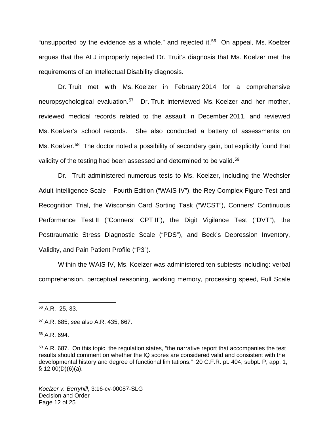"unsupported by the evidence as a whole," and rejected it.<sup>[56](#page-11-0)</sup> On appeal, Ms. Koelzer argues that the ALJ improperly rejected Dr. Truit's diagnosis that Ms. Koelzer met the requirements of an Intellectual Disability diagnosis.

Dr. Truit met with Ms. Koelzer in February 2014 for a comprehensive neuropsychological evaluation.<sup>[57](#page-11-1)</sup> Dr. Truit interviewed Ms. Koelzer and her mother, reviewed medical records related to the assault in December 2011, and reviewed Ms. Koelzer's school records. She also conducted a battery of assessments on Ms. Koelzer.<sup>[58](#page-11-2)</sup> The doctor noted a possibility of secondary gain, but explicitly found that validity of the testing had been assessed and determined to be valid.<sup>[59](#page-11-3)</sup>

Dr. Truit administered numerous tests to Ms. Koelzer, including the Wechsler Adult Intelligence Scale – Fourth Edition ("WAIS-IV"), the Rey Complex Figure Test and Recognition Trial, the Wisconsin Card Sorting Task ("WCST"), Conners' Continuous Performance Test II ("Conners' CPT II"), the Digit Vigilance Test ("DVT"), the Posttraumatic Stress Diagnostic Scale ("PDS"), and Beck's Depression Inventory, Validity, and Pain Patient Profile ("P3").

Within the WAIS-IV, Ms. Koelzer was administered ten subtests including: verbal comprehension, perceptual reasoning, working memory, processing speed, Full Scale

 $\overline{a}$ 

Koelzer v. Berryhill, 3:16-cv-00087-SLG Decision and Order Page 12 of 25

<span id="page-11-0"></span><sup>56</sup> A.R. 25, 33.

<span id="page-11-1"></span><sup>57</sup> A.R. 685; see also A.R. 435, 667.

<span id="page-11-2"></span><sup>58</sup> A.R. 694.

<span id="page-11-3"></span><sup>&</sup>lt;sup>59</sup> A.R. 687. On this topic, the regulation states, "the narrative report that accompanies the test results should comment on whether the IQ scores are considered valid and consistent with the developmental history and degree of functional limitations." 20 C.F.R. pt. 404, subpt. P, app. 1,  $§ 12.00(D)(6)(a).$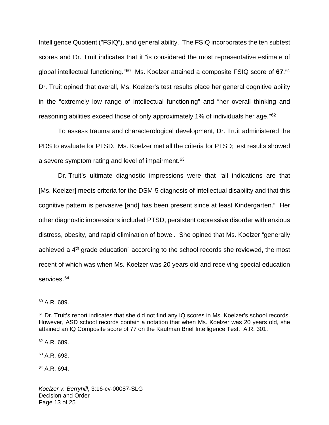Intelligence Quotient ("FSIQ"), and general ability. The FSIQ incorporates the ten subtest scores and Dr. Truit indicates that it "is considered the most representative estimate of global intellectual functioning."<sup>[60](#page-12-0)</sup> Ms. Koelzer attained a composite FSIQ score of 67.<sup>[61](#page-12-1)</sup> Dr. Truit opined that overall, Ms. Koelzer's test results place her general cognitive ability in the "extremely low range of intellectual functioning" and "her overall thinking and reasoning abilities exceed those of only approximately 1% of individuals her age."<sup>[62](#page-12-2)</sup>

To assess trauma and characterological development, Dr. Truit administered the PDS to evaluate for PTSD. Ms. Koelzer met all the criteria for PTSD; test results showed a severe symptom rating and level of impairment.<sup>[63](#page-12-3)</sup>

Dr. Truit's ultimate diagnostic impressions were that "all indications are that [Ms. Koelzer] meets criteria for the DSM-5 diagnosis of intellectual disability and that this cognitive pattern is pervasive [and] has been present since at least Kindergarten." Her other diagnostic impressions included PTSD, persistent depressive disorder with anxious distress, obesity, and rapid elimination of bowel. She opined that Ms. Koelzer "generally achieved a  $4<sup>th</sup>$  grade education" according to the school records she reviewed, the most recent of which was when Ms. Koelzer was 20 years old and receiving special education services.<sup>[64](#page-12-4)</sup>

1

<span id="page-12-2"></span><sup>62</sup> A.R. 689.

<span id="page-12-3"></span><sup>63</sup> A.R. 693.

<span id="page-12-4"></span><sup>64</sup> A.R. 694.

<span id="page-12-0"></span><sup>60</sup> A.R. 689.

<span id="page-12-1"></span> $61$  Dr. Truit's report indicates that she did not find any IQ scores in Ms. Koelzer's school records. However, ASD school records contain a notation that when Ms. Koelzer was 20 years old, she attained an IQ Composite score of 77 on the Kaufman Brief Intelligence Test. A.R. 301.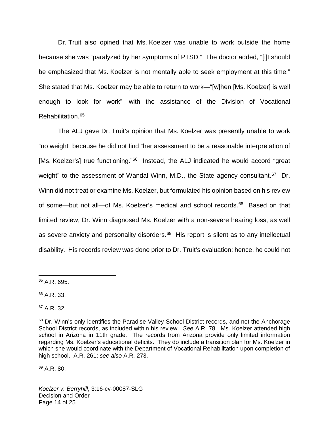Dr. Truit also opined that Ms. Koelzer was unable to work outside the home because she was "paralyzed by her symptoms of PTSD." The doctor added, "[i]t should be emphasized that Ms. Koelzer is not mentally able to seek employment at this time." She stated that Ms. Koelzer may be able to return to work—"[w]hen [Ms. Koelzer] is well enough to look for work"—with the assistance of the Division of Vocational Rehabilitation.[65](#page-13-0)

The ALJ gave Dr. Truit's opinion that Ms. Koelzer was presently unable to work "no weight" because he did not find "her assessment to be a reasonable interpretation of [Ms. Koelzer's] true functioning."<sup>[66](#page-13-1)</sup> Instead, the ALJ indicated he would accord "great weight" to the assessment of Wandal Winn, M.D., the State agency consultant.<sup>[67](#page-13-2)</sup> Dr. Winn did not treat or examine Ms. Koelzer, but formulated his opinion based on his review of some—but not all—of Ms. Koelzer's medical and school records.<sup>[68](#page-13-3)</sup> Based on that limited review, Dr. Winn diagnosed Ms. Koelzer with a non-severe hearing loss, as well as severe anxiety and personality disorders.<sup>[69](#page-13-4)</sup> His report is silent as to any intellectual disability. His records review was done prior to Dr. Truit's evaluation; hence, he could not

1

<span id="page-13-2"></span><sup>67</sup> A.R. 32.

<span id="page-13-4"></span><sup>69</sup> A.R. 80.

Koelzer v. Berryhill, 3:16-cv-00087-SLG Decision and Order Page 14 of 25

<span id="page-13-0"></span><sup>65</sup> A.R. 695.

<span id="page-13-1"></span><sup>66</sup> A.R. 33.

<span id="page-13-3"></span><sup>&</sup>lt;sup>68</sup> Dr. Winn's only identifies the Paradise Valley School District records, and not the Anchorage School District records, as included within his review. See A.R. 78. Ms. Koelzer attended high school in Arizona in 11th grade. The records from Arizona provide only limited information regarding Ms. Koelzer's educational deficits. They do include a transition plan for Ms. Koelzer in which she would coordinate with the Department of Vocational Rehabilitation upon completion of high school. A.R. 261; see also A.R. 273.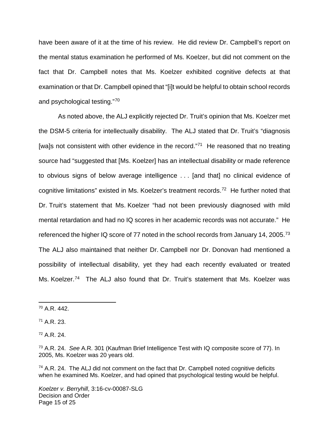have been aware of it at the time of his review. He did review Dr. Campbell's report on the mental status examination he performed of Ms. Koelzer, but did not comment on the fact that Dr. Campbell notes that Ms. Koelzer exhibited cognitive defects at that examination or that Dr. Campbell opined that "[i]t would be helpful to obtain school records and psychological testing."[70](#page-14-0)

As noted above, the ALJ explicitly rejected Dr. Truit's opinion that Ms. Koelzer met the DSM-5 criteria for intellectually disability. The ALJ stated that Dr. Truit's "diagnosis [wa]s not consistent with other evidence in the record."<sup>[71](#page-14-1)</sup> He reasoned that no treating source had "suggested that [Ms. Koelzer] has an intellectual disability or made reference to obvious signs of below average intelligence . . . [and that] no clinical evidence of cognitive limitations" existed in Ms. Koelzer's treatment records.<sup>[72](#page-14-2)</sup> He further noted that Dr. Truit's statement that Ms. Koelzer "had not been previously diagnosed with mild mental retardation and had no IQ scores in her academic records was not accurate." He referenced the higher IQ score of 77 noted in the school records from January 14, 2005.<sup>[73](#page-14-3)</sup> The ALJ also maintained that neither Dr. Campbell nor Dr. Donovan had mentioned a possibility of intellectual disability, yet they had each recently evaluated or treated Ms. Koelzer.<sup>[74](#page-14-4)</sup> The ALJ also found that Dr. Truit's statement that Ms. Koelzer was

1

<span id="page-14-2"></span> $72$  A.R. 24.

Koelzer v. Berryhill, 3:16-cv-00087-SLG Decision and Order Page 15 of 25

<span id="page-14-0"></span><sup>70</sup> A.R. 442.

<span id="page-14-1"></span> $71$  A.R. 23.

<span id="page-14-3"></span><sup>&</sup>lt;sup>73</sup> A.R. 24. See A.R. 301 (Kaufman Brief Intelligence Test with IQ composite score of 77). In 2005, Ms. Koelzer was 20 years old.

<span id="page-14-4"></span> $74$  A.R. 24. The ALJ did not comment on the fact that Dr. Campbell noted cognitive deficits when he examined Ms. Koelzer, and had opined that psychological testing would be helpful.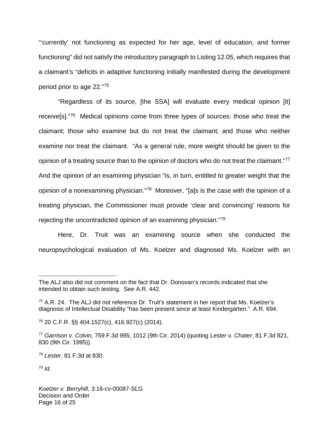"'currently' not functioning as expected for her age, level of education, and former functioning" did not satisfy the introductory paragraph to Listing 12.05, which requires that a claimant's "deficits in adaptive functioning initially manifested during the development period prior to age 22."[75](#page-15-0)

"Regardless of its source, [the SSA] will evaluate every medical opinion [it] receive[s]."<sup>[76](#page-15-1)</sup> Medical opinions come from three types of sources: those who treat the claimant; those who examine but do not treat the claimant; and those who neither examine nor treat the claimant. "As a general rule, more weight should be given to the opinion of a treating source than to the opinion of doctors who do not treat the claimant."<sup>[77](#page-15-2)</sup> And the opinion of an examining physician "is, in turn, entitled to greater weight that the opinion of a nonexamining physician."<sup>[78](#page-15-3)</sup> Moreover, "[a]s is the case with the opinion of a treating physician, the Commissioner must provide 'clear and convincing' reasons for rejecting the uncontradicted opinion of an examining physician."[79](#page-15-4)

Here, Dr. Truit was an examining source when she conducted the neuropsychological evaluation of Ms. Koelzer and diagnosed Ms. Koelzer with an

1

The ALJ also did not comment on the fact that Dr. Donovan's records indicated that she intended to obtain such testing. See A.R. 442.

<span id="page-15-0"></span> $75$  A.R. 24. The ALJ did not reference Dr. Truit's statement in her report that Ms. Koelzer's diagnosis of Intellectual Disability "has been present since at least Kindergarten." A.R. 694.

<span id="page-15-1"></span><sup>76</sup> 20 C.F.R. §§ 404.1527(c), 416.927(c) (2014).

<span id="page-15-2"></span> $77$  Garrison v. Colvin, 759 F.3d 995, 1012 (9th Cir. 2014) (quoting Lester v. Chater, 81 F.3d 821, 830 (9th Cir. 1995)).

<span id="page-15-3"></span><sup>78</sup> Lester, 81 F.3d at 830.

<span id="page-15-4"></span> $79$  Id.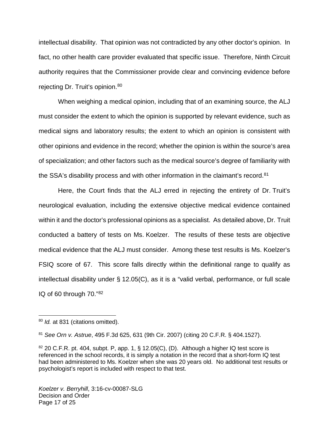intellectual disability. That opinion was not contradicted by any other doctor's opinion. In fact, no other health care provider evaluated that specific issue. Therefore, Ninth Circuit authority requires that the Commissioner provide clear and convincing evidence before rejecting Dr. Truit's opinion.<sup>[80](#page-16-0)</sup>

When weighing a medical opinion, including that of an examining source, the ALJ must consider the extent to which the opinion is supported by relevant evidence, such as medical signs and laboratory results; the extent to which an opinion is consistent with other opinions and evidence in the record; whether the opinion is within the source's area of specialization; and other factors such as the medical source's degree of familiarity with the SSA's disability process and with other information in the claimant's record.<sup>[81](#page-16-1)</sup>

Here, the Court finds that the ALJ erred in rejecting the entirety of Dr. Truit's neurological evaluation, including the extensive objective medical evidence contained within it and the doctor's professional opinions as a specialist. As detailed above, Dr. Truit conducted a battery of tests on Ms. Koelzer. The results of these tests are objective medical evidence that the ALJ must consider. Among these test results is Ms. Koelzer's FSIQ score of 67. This score falls directly within the definitional range to qualify as intellectual disability under § 12.05(C), as it is a "valid verbal, performance, or full scale IQ of 60 through 70."[82](#page-16-2)

<span id="page-16-0"></span><sup>&</sup>lt;sup>80</sup> *Id.* at 831 (citations omitted).

<span id="page-16-1"></span><sup>81</sup> See Orn v. Astrue, 495 F.3d 625, 631 (9th Cir. 2007) (citing 20 C.F.R. § 404.1527).

<span id="page-16-2"></span> $82$  20 C.F.R. pt. 404, subpt. P, app. 1, § 12.05(C), (D). Although a higher IQ test score is referenced in the school records, it is simply a notation in the record that a short-form IQ test had been administered to Ms. Koelzer when she was 20 years old. No additional test results or psychologist's report is included with respect to that test.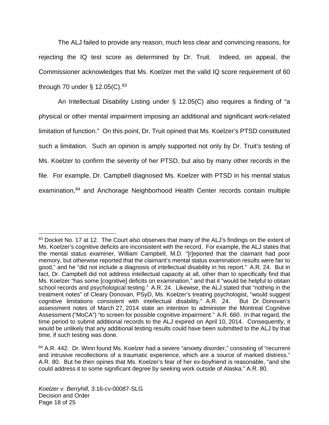The ALJ failed to provide any reason, much less clear and convincing reasons, for rejecting the IQ test score as determined by Dr. Truit. Indeed, on appeal, the Commissioner acknowledges that Ms. Koelzer met the valid IQ score requirement of 60 through 70 under  $\S$  12.05(C).<sup>[83](#page-17-0)</sup>

An Intellectual Disability Listing under § 12.05(C) also requires a finding of "a physical or other mental impairment imposing an additional and significant work-related limitation of function." On this point, Dr. Truit opined that Ms. Koelzer's PTSD constituted such a limitation. Such an opinion is amply supported not only by Dr. Truit's testing of Ms. Koelzer to confirm the severity of her PTSD, but also by many other records in the file. For example, Dr. Campbell diagnosed Ms. Koelzer with PTSD in his mental status examination,<sup>[84](#page-17-1)</sup> and Anchorage Neighborhood Health Center records contain multiple

<span id="page-17-0"></span><sup>&</sup>lt;sup>83</sup> Docket No. 17 at 12. The Court also observes that many of the ALJ's findings on the extent of Ms. Koelzer's cognitive deficits are inconsistent with the record. For example, the ALJ states that the mental status examiner, William Campbell, M.D. "[r]eported that the claimant had poor memory, but otherwise reported that the claimant's mental status examination results were fair to good," and he "did not include a diagnosis of intellectual disability in his report." A.R. 24. But in fact, Dr. Campbell did not address intellectual capacity at all, other than to specifically find that Ms. Koelzer "has some [cognitive] deficits on examination," and that it "would be helpful to obtain school records and psychological testing." A.R. 24. Likewise, the ALJ stated that "nothing in the treatment notes" of Cleary Donovan, PSyD, Ms. Koelzer's treating psychologist, "would suggest cognitive limitations consistent with intellectual disability." A.R. 24. But Dr. Donovan's cognitive limitations consistent with intellectual disability." A.R. 24. assessment notes of March 27, 2014 state an intention to administer the Montreal Cognitive Assessment ("MoCA") "to screen for possible cognitive impairment." A.R. 660. In that regard, the time period to submit additional records to the ALJ expired on April 10, 2014. Consequently, it would be unlikely that any additional testing results could have been submitted to the ALJ by that time, if such testing was done.

<span id="page-17-1"></span><sup>&</sup>lt;sup>84</sup> A.R. 442. Dr. Winn found Ms. Koelzer had a severe "anxiety disorder," consisting of "recurrent and intrusive recollections of a traumatic experience, which are a source of marked distress." A.R. 80. But he then opines that Ms. Koelzer's fear of her ex-boyfriend is reasonable, "and she could address it to some significant degree by seeking work outside of Alaska." A.R. 80.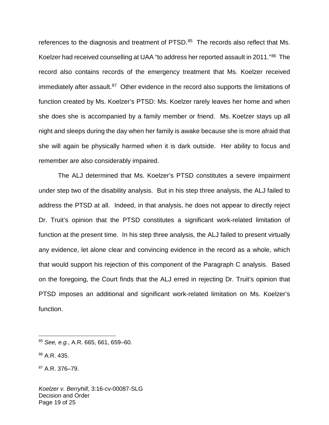references to the diagnosis and treatment of PTSD.<sup>[85](#page-18-0)</sup> The records also reflect that Ms. Koelzer had received counselling at UAA "to address her reported assault in 2011."<sup>[86](#page-18-1)</sup> The record also contains records of the emergency treatment that Ms. Koelzer received immediately after assault.<sup>[87](#page-18-2)</sup> Other evidence in the record also supports the limitations of function created by Ms. Koelzer's PTSD: Ms. Koelzer rarely leaves her home and when she does she is accompanied by a family member or friend. Ms. Koelzer stays up all night and sleeps during the day when her family is awake because she is more afraid that she will again be physically harmed when it is dark outside. Her ability to focus and remember are also considerably impaired.

 The ALJ determined that Ms. Koelzer's PTSD constitutes a severe impairment under step two of the disability analysis. But in his step three analysis, the ALJ failed to address the PTSD at all. Indeed, in that analysis, he does not appear to directly reject Dr. Truit's opinion that the PTSD constitutes a significant work-related limitation of function at the present time. In his step three analysis, the ALJ failed to present virtually any evidence, let alone clear and convincing evidence in the record as a whole, which that would support his rejection of this component of the Paragraph C analysis. Based on the foregoing, the Court finds that the ALJ erred in rejecting Dr. Truit's opinion that PTSD imposes an additional and significant work-related limitation on Ms. Koelzer's function.

1

<span id="page-18-0"></span> $85$  See, e.g., A.R. 665, 661, 659–60.

<span id="page-18-1"></span><sup>86</sup> A.R. 435.

<span id="page-18-2"></span><sup>87</sup> A.R. 376–79.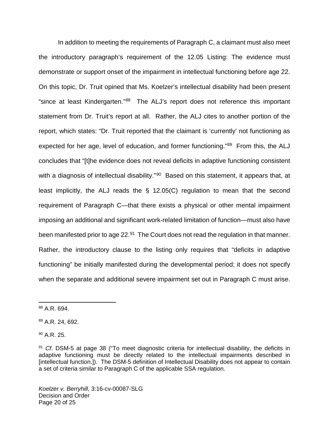In addition to meeting the requirements of Paragraph C, a claimant must also meet the introductory paragraph's requirement of the 12.05 Listing: The evidence must demonstrate or support onset of the impairment in intellectual functioning before age 22. On this topic, Dr. Truit opined that Ms. Koelzer's intellectual disability had been present "since at least Kindergarten."<sup>[88](#page-19-0)</sup> The ALJ's report does not reference this important statement from Dr. Truit's report at all. Rather, the ALJ cites to another portion of the report, which states: "Dr. Truit reported that the claimant is 'currently' not functioning as expected for her age, level of education, and former functioning."<sup>[89](#page-19-1)</sup> From this, the ALJ concludes that "[t]he evidence does not reveal deficits in adaptive functioning consistent with a diagnosis of intellectual disability."<sup>[90](#page-19-2)</sup> Based on this statement, it appears that, at least implicitly, the ALJ reads the § 12.05(C) regulation to mean that the second requirement of Paragraph C—that there exists a physical or other mental impairment imposing an additional and significant work-related limitation of function—must also have been manifested prior to age 22.<sup>[91](#page-19-3)</sup> The Court does not read the regulation in that manner. Rather, the introductory clause to the listing only requires that "deficits in adaptive functioning" be initially manifested during the developmental period; it does not specify when the separate and additional severe impairment set out in Paragraph C must arise.

1

<span id="page-19-0"></span><sup>88</sup> A.R. 694.

<span id="page-19-1"></span><sup>89</sup> A.R. 24, 692.

<span id="page-19-2"></span> $90$  A.R. 25.

<span id="page-19-3"></span><sup>&</sup>lt;sup>91</sup> Cf. DSM-5 at page 38 ("To meet diagnostic criteria for intellectual disability, the deficits in adaptive functioning must be directly related to the intellectual impairments described in [intellectual function.]). The DSM-5 definition of Intellectual Disability does not appear to contain a set of criteria similar to Paragraph C of the applicable SSA regulation.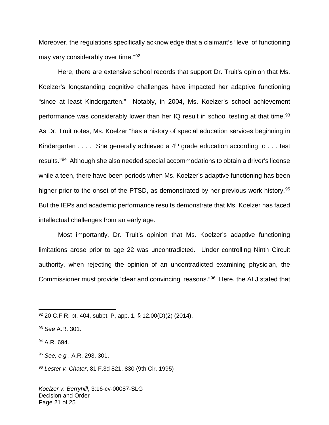Moreover, the regulations specifically acknowledge that a claimant's "level of functioning may vary considerably over time."[92](#page-20-0)

Here, there are extensive school records that support Dr. Truit's opinion that Ms. Koelzer's longstanding cognitive challenges have impacted her adaptive functioning "since at least Kindergarten." Notably, in 2004, Ms. Koelzer's school achievement performance was considerably lower than her IQ result in school testing at that time.<sup>[93](#page-20-1)</sup> As Dr. Truit notes, Ms. Koelzer "has a history of special education services beginning in Kindergarten  $\dots$ . She generally achieved a  $4<sup>th</sup>$  grade education according to  $\dots$  test results."<sup>[94](#page-20-2)</sup> Although she also needed special accommodations to obtain a driver's license while a teen, there have been periods when Ms. Koelzer's adaptive functioning has been higher prior to the onset of the PTSD, as demonstrated by her previous work history.<sup>[95](#page-20-3)</sup> But the IEPs and academic performance results demonstrate that Ms. Koelzer has faced intellectual challenges from an early age.

Most importantly, Dr. Truit's opinion that Ms. Koelzer's adaptive functioning limitations arose prior to age 22 was uncontradicted. Under controlling Ninth Circuit authority, when rejecting the opinion of an uncontradicted examining physician, the Commissioner must provide 'clear and convincing' reasons."<sup>[96](#page-20-4)</sup> Here, the ALJ stated that

 $\overline{a}$ 

<span id="page-20-4"></span><sup>96</sup> Lester v. Chater, 81 F.3d 821, 830 (9th Cir. 1995)

Koelzer v. Berryhill, 3:16-cv-00087-SLG Decision and Order Page 21 of 25

<span id="page-20-0"></span><sup>92</sup> 20 C.F.R. pt. 404, subpt. P, app. 1, § 12.00(D)(2) (2014).

<span id="page-20-1"></span><sup>93</sup> See A.R. 301.

<span id="page-20-2"></span><sup>&</sup>lt;sup>94</sup> A.R. 694.

<span id="page-20-3"></span><sup>95</sup> See, e.g., A.R. 293, 301.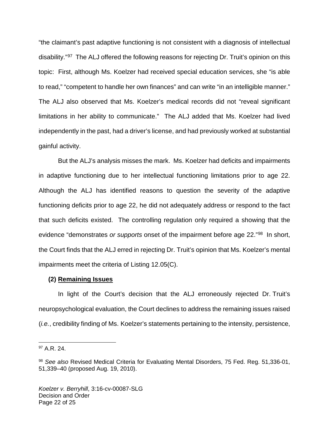"the claimant's past adaptive functioning is not consistent with a diagnosis of intellectual disability."<sup>[97](#page-21-0)</sup> The ALJ offered the following reasons for rejecting Dr. Truit's opinion on this topic: First, although Ms. Koelzer had received special education services, she "is able to read," "competent to handle her own finances" and can write "in an intelligible manner." The ALJ also observed that Ms. Koelzer's medical records did not "reveal significant limitations in her ability to communicate." The ALJ added that Ms. Koelzer had lived independently in the past, had a driver's license, and had previously worked at substantial gainful activity.

But the ALJ's analysis misses the mark. Ms. Koelzer had deficits and impairments in adaptive functioning due to her intellectual functioning limitations prior to age 22. Although the ALJ has identified reasons to question the severity of the adaptive functioning deficits prior to age 22, he did not adequately address or respond to the fact that such deficits existed. The controlling regulation only required a showing that the evidence "demonstrates or supports onset of the impairment before age 22."<sup>[98](#page-21-1)</sup> In short, the Court finds that the ALJ erred in rejecting Dr. Truit's opinion that Ms. Koelzer's mental impairments meet the criteria of Listing 12.05(C).

## **(2) Remaining Issues**

In light of the Court's decision that the ALJ erroneously rejected Dr. Truit's neuropsychological evaluation, the Court declines to address the remaining issues raised (i.e., credibility finding of Ms. Koelzer's statements pertaining to the intensity, persistence,

<span id="page-21-0"></span> $97$  A.R. 24.

<span id="page-21-1"></span><sup>98</sup> See also Revised Medical Criteria for Evaluating Mental Disorders, 75 Fed. Reg. 51,336-01, 51,339–40 (proposed Aug. 19, 2010).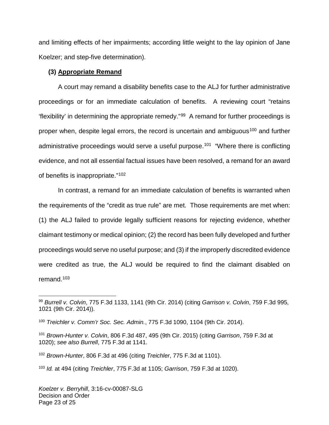and limiting effects of her impairments; according little weight to the lay opinion of Jane Koelzer; and step-five determination).

### **(3) Appropriate Remand**

A court may remand a disability benefits case to the ALJ for further administrative proceedings or for an immediate calculation of benefits. A reviewing court "retains 'flexibility' in determining the appropriate remedy."[99](#page-22-0) A remand for further proceedings is proper when, despite legal errors, the record is uncertain and ambiguous<sup>[100](#page-22-1)</sup> and further administrative proceedings would serve a useful purpose.<sup>[101](#page-22-2)</sup> "Where there is conflicting evidence, and not all essential factual issues have been resolved, a remand for an award of benefits is inappropriate."[102](#page-22-3)

In contrast, a remand for an immediate calculation of benefits is warranted when the requirements of the "credit as true rule" are met. Those requirements are met when: (1) the ALJ failed to provide legally sufficient reasons for rejecting evidence, whether claimant testimony or medical opinion; (2) the record has been fully developed and further proceedings would serve no useful purpose; and (3) if the improperly discredited evidence were credited as true, the ALJ would be required to find the claimant disabled on remand.<sup>[103](#page-22-4)</sup>

<span id="page-22-2"></span><sup>101</sup> Brown-Hunter v. Colvin, 806 F.3d 487, 495 (9th Cir. 2015) (citing Garrison, 759 F.3d at 1020); see also Burrell, 775 F.3d at 1141.

<span id="page-22-0"></span><sup>99</sup> Burrell v. Colvin, 775 F.3d 1133, 1141 (9th Cir. 2014) (citing Garrison v. Colvin, 759 F.3d 995, 1021 (9th Cir. 2014)).

<span id="page-22-1"></span><sup>100</sup> Treichler v. Comm'r Soc. Sec. Admin., 775 F.3d 1090, 1104 (9th Cir. 2014).

<span id="page-22-3"></span><sup>102</sup> Brown-Hunter, 806 F.3d at 496 (citing Treichler, 775 F.3d at 1101).

<span id="page-22-4"></span> $103$  *Id.* at 494 (citing Treichler, 775 F.3d at 1105; Garrison, 759 F.3d at 1020).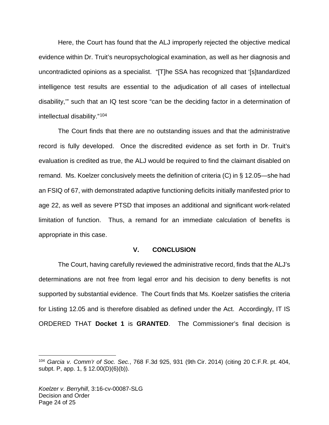Here, the Court has found that the ALJ improperly rejected the objective medical evidence within Dr. Truit's neuropsychological examination, as well as her diagnosis and uncontradicted opinions as a specialist. "[T]he SSA has recognized that '[s]tandardized intelligence test results are essential to the adjudication of all cases of intellectual disability,'" such that an IQ test score "can be the deciding factor in a determination of intellectual disability."[104](#page-23-0)

The Court finds that there are no outstanding issues and that the administrative record is fully developed. Once the discredited evidence as set forth in Dr. Truit's evaluation is credited as true, the ALJ would be required to find the claimant disabled on remand. Ms. Koelzer conclusively meets the definition of criteria (C) in § 12.05—she had an FSIQ of 67, with demonstrated adaptive functioning deficits initially manifested prior to age 22, as well as severe PTSD that imposes an additional and significant work-related limitation of function. Thus, a remand for an immediate calculation of benefits is appropriate in this case.

## **V. CONCLUSION**

The Court, having carefully reviewed the administrative record, finds that the ALJ's determinations are not free from legal error and his decision to deny benefits is not supported by substantial evidence. The Court finds that Ms. Koelzer satisfies the criteria for Listing 12.05 and is therefore disabled as defined under the Act. Accordingly, IT IS ORDERED THAT **Docket 1** is **GRANTED**. The Commissioner's final decision is

<span id="page-23-0"></span><sup>104</sup> Garcia v. Comm'r of Soc. Sec., 768 F.3d 925, 931 (9th Cir. 2014) (citing 20 C.F.R. pt. 404, subpt. P, app. 1, § 12.00(D)(6)(b)).